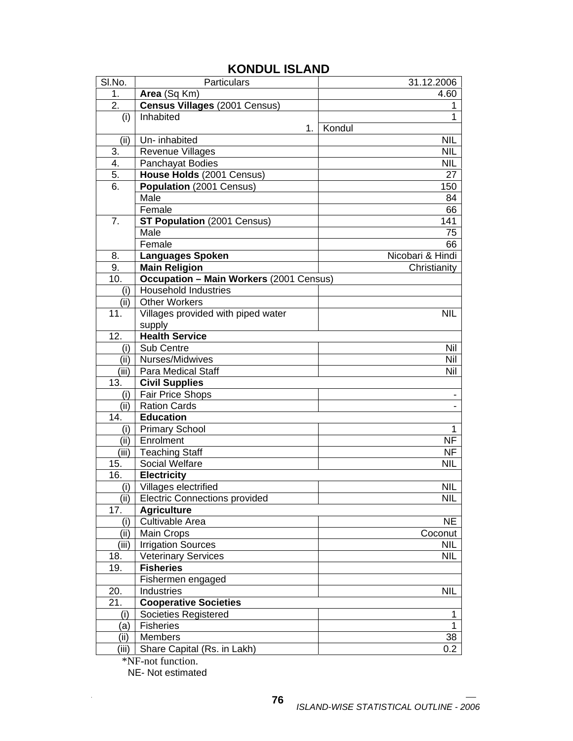| SI.No. | Particulars                                    | 31.12.2006       |
|--------|------------------------------------------------|------------------|
| 1.     | Area (Sq Km)                                   | 4.60             |
| 2.     | <b>Census Villages (2001 Census)</b>           | 1                |
| (i)    | Inhabited                                      | $\mathbf{1}$     |
|        | 1.                                             | Kondul           |
| (ii)   | Un-inhabited                                   | <b>NIL</b>       |
| 3.     | <b>Revenue Villages</b>                        | <b>NIL</b>       |
| 4.     | Panchayat Bodies                               | <b>NIL</b>       |
| 5.     | House Holds (2001 Census)                      | 27               |
| 6.     | Population (2001 Census)                       | 150              |
|        | Male                                           | 84               |
|        | Female                                         | 66               |
| 7.     | <b>ST Population (2001 Census)</b>             | 141              |
|        | Male                                           | 75               |
|        | Female                                         | 66               |
| 8.     | <b>Languages Spoken</b>                        | Nicobari & Hindi |
| 9.     | <b>Main Religion</b>                           | Christianity     |
| 10.    | <b>Occupation - Main Workers (2001 Census)</b> |                  |
| (i)    | <b>Household Industries</b>                    |                  |
| (ii)   | <b>Other Workers</b>                           |                  |
| 11.    | Villages provided with piped water             | <b>NIL</b>       |
|        | supply                                         |                  |
| 12.    | <b>Health Service</b>                          |                  |
| (i)    | Sub Centre                                     | Nil              |
| (ii)   | Nurses/Midwives                                | Nil              |
| (iii)  | Para Medical Staff                             | Nil              |
| 13.    | <b>Civil Supplies</b>                          |                  |
| (i)    | <b>Fair Price Shops</b>                        |                  |
| (i)    | <b>Ration Cards</b>                            |                  |
| 14.    | <b>Education</b>                               |                  |
| (i)    | <b>Primary School</b>                          | 1                |
| (ii)   | Enrolment                                      | <b>NF</b>        |
| (iii)  | <b>Teaching Staff</b>                          | NF               |
| 15.    | <b>Social Welfare</b>                          | <b>NIL</b>       |
| 16.    | <b>Electricity</b>                             |                  |
| (i)    | Villages electrified                           | <b>NIL</b>       |
| (ii)   | <b>Electric Connections provided</b>           | <b>NIL</b>       |
| 17.    | <b>Agriculture</b>                             |                  |
| (i)    | Cultivable Area                                | <b>NE</b>        |
| (ii)   | Main Crops                                     | Coconut          |
| (iii)  | <b>Irrigation Sources</b>                      | <b>NIL</b>       |
| 18.    | <b>Veterinary Services</b>                     | <b>NIL</b>       |
| 19.    | <b>Fisheries</b>                               |                  |
|        | Fishermen engaged                              |                  |
| 20.    | Industries                                     | <b>NIL</b>       |
| 21.    | <b>Cooperative Societies</b>                   |                  |
| (i)    | Societies Registered                           | 1                |
| (a)    | <b>Fisheries</b>                               | $\mathbf{1}$     |
| (ii)   | Members                                        | 38               |
| (iii)  | Share Capital (Rs. in Lakh)                    | 0.2              |
|        | *NF-not function.                              |                  |

## **KONDUL ISLAND**

NE- Not estimated